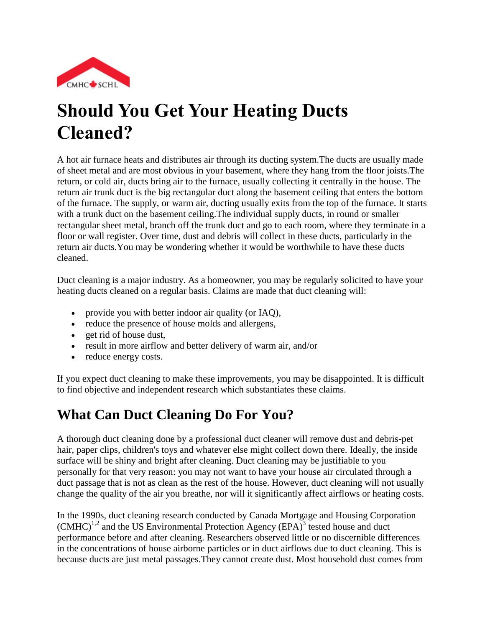

# **Should You Get Your Heating Ducts Cleaned?**

A hot air furnace heats and distributes air through its ducting system.The ducts are usually made of sheet metal and are most obvious in your basement, where they hang from the floor joists.The return, or cold air, ducts bring air to the furnace, usually collecting it centrally in the house. The return air trunk duct is the big rectangular duct along the basement ceiling that enters the bottom of the furnace. The supply, or warm air, ducting usually exits from the top of the furnace. It starts with a trunk duct on the basement ceiling.The individual supply ducts, in round or smaller rectangular sheet metal, branch off the trunk duct and go to each room, where they terminate in a floor or wall register. Over time, dust and debris will collect in these ducts, particularly in the return air ducts.You may be wondering whether it would be worthwhile to have these ducts cleaned.

Duct cleaning is a major industry. As a homeowner, you may be regularly solicited to have your heating ducts cleaned on a regular basis. Claims are made that duct cleaning will:

- provide you with better indoor air quality (or IAQ),
- reduce the presence of house molds and allergens,
- get rid of house dust,
- result in more airflow and better delivery of warm air, and/or
- reduce energy costs.

If you expect duct cleaning to make these improvements, you may be disappointed. It is difficult to find objective and independent research which substantiates these claims.

## **What Can Duct Cleaning Do For You?**

A thorough duct cleaning done by a professional duct cleaner will remove dust and debris-pet hair, paper clips, children's toys and whatever else might collect down there. Ideally, the inside surface will be shiny and bright after cleaning. Duct cleaning may be justifiable to you personally for that very reason: you may not want to have your house air circulated through a duct passage that is not as clean as the rest of the house. However, duct cleaning will not usually change the quality of the air you breathe, nor will it significantly affect airflows or heating costs.

In the 1990s, duct cleaning research conducted by Canada Mortgage and Housing Corporation  $(CMHC)^{1,2}$  and the US Environmental Protection Agency  $(EPA)^3$  tested house and duct performance before and after cleaning. Researchers observed little or no discernible differences in the concentrations of house airborne particles or in duct airflows due to duct cleaning. This is because ducts are just metal passages.They cannot create dust. Most household dust comes from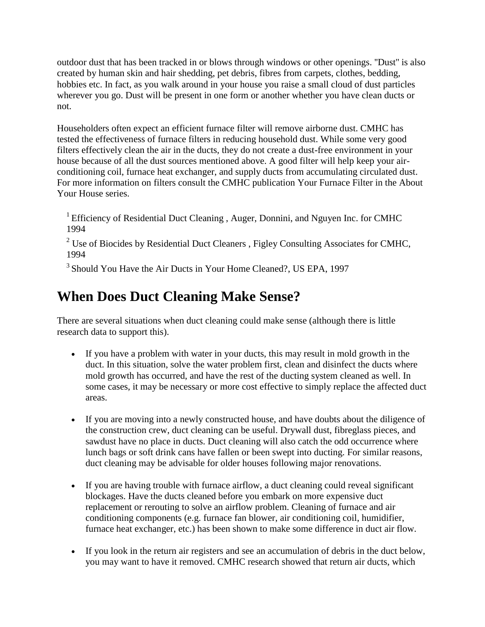outdoor dust that has been tracked in or blows through windows or other openings. ''Dust'' is also created by human skin and hair shedding, pet debris, fibres from carpets, clothes, bedding, hobbies etc. In fact, as you walk around in your house you raise a small cloud of dust particles wherever you go. Dust will be present in one form or another whether you have clean ducts or not.

Householders often expect an efficient furnace filter will remove airborne dust. CMHC has tested the effectiveness of furnace filters in reducing household dust. While some very good filters effectively clean the air in the ducts, they do not create a dust-free environment in your house because of all the dust sources mentioned above. A good filter will help keep your airconditioning coil, furnace heat exchanger, and supply ducts from accumulating circulated dust. For more information on filters consult the CMHC publication Your Furnace Filter in the About Your House series.

<sup>1</sup> Efficiency of Residential Duct Cleaning, Auger, Donnini, and Nguyen Inc. for CMHC 1994

 $2^2$  Use of Biocides by Residential Duct Cleaners, Figley Consulting Associates for CMHC, 1994

<sup>3</sup> Should You Have the Air Ducts in Your Home Cleaned?, US EPA, 1997

### **When Does Duct Cleaning Make Sense?**

There are several situations when duct cleaning could make sense (although there is little research data to support this).

- If you have a problem with water in your ducts, this may result in mold growth in the duct. In this situation, solve the water problem first, clean and disinfect the ducts where mold growth has occurred, and have the rest of the ducting system cleaned as well. In some cases, it may be necessary or more cost effective to simply replace the affected duct areas.
- If you are moving into a newly constructed house, and have doubts about the diligence of the construction crew, duct cleaning can be useful. Drywall dust, fibreglass pieces, and sawdust have no place in ducts. Duct cleaning will also catch the odd occurrence where lunch bags or soft drink cans have fallen or been swept into ducting. For similar reasons, duct cleaning may be advisable for older houses following major renovations.
- If you are having trouble with furnace airflow, a duct cleaning could reveal significant blockages. Have the ducts cleaned before you embark on more expensive duct replacement or rerouting to solve an airflow problem. Cleaning of furnace and air conditioning components (e.g. furnace fan blower, air conditioning coil, humidifier, furnace heat exchanger, etc.) has been shown to make some difference in duct air flow.
- If you look in the return air registers and see an accumulation of debris in the duct below, you may want to have it removed. CMHC research showed that return air ducts, which